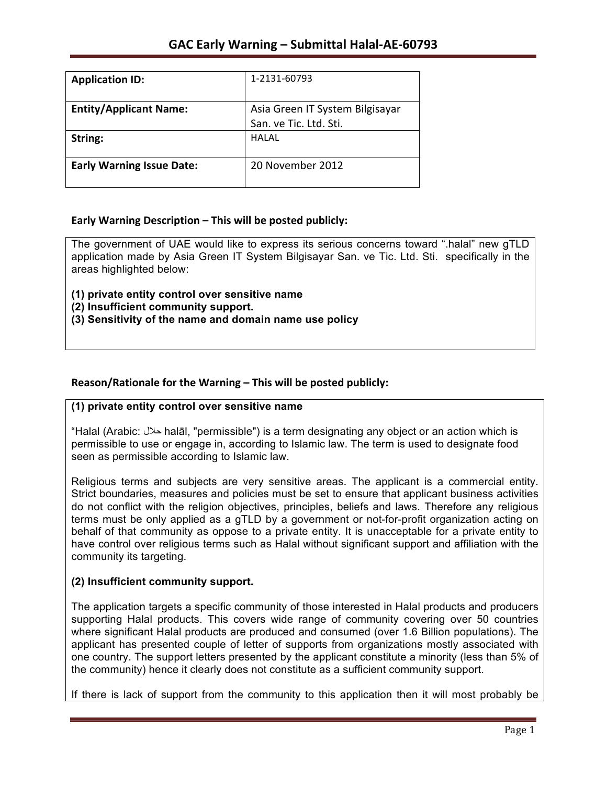| <b>Application ID:</b>           | 1-2131-60793                    |
|----------------------------------|---------------------------------|
| <b>Entity/Applicant Name:</b>    | Asia Green IT System Bilgisayar |
|                                  | San. ve Tic. Ltd. Sti.          |
| String:                          | HALAL                           |
| <b>Early Warning Issue Date:</b> | 20 November 2012                |

## **Early Warning Description – This will be posted publicly:**

The government of UAE would like to express its serious concerns toward ".halal" new gTLD application made by Asia Green IT System Bilgisayar San. ve Tic. Ltd. Sti. specifically in the areas highlighted below:

**(1) private entity control over sensitive name** 

**(2) Insufficient community support.** 

**(3) Sensitivity of the name and domain name use policy**

## Reason/Rationale for the Warning – This will be posted publicly:

### **(1) private entity control over sensitive name**

"Halal (Arabic: حلال halāl, "permissible") is a term designating any object or an action which is permissible to use or engage in, according to Islamic law. The term is used to designate food seen as permissible according to Islamic law.

Religious terms and subjects are very sensitive areas. The applicant is a commercial entity. Strict boundaries, measures and policies must be set to ensure that applicant business activities do not conflict with the religion objectives, principles, beliefs and laws. Therefore any religious terms must be only applied as a gTLD by a government or not-for-profit organization acting on behalf of that community as oppose to a private entity. It is unacceptable for a private entity to have control over religious terms such as Halal without significant support and affiliation with the community its targeting.

### **(2) Insufficient community support.**

The application targets a specific community of those interested in Halal products and producers supporting Halal products. This covers wide range of community covering over 50 countries where significant Halal products are produced and consumed (over 1.6 Billion populations). The applicant has presented couple of letter of supports from organizations mostly associated with one country. The support letters presented by the applicant constitute a minority (less than 5% of the community) hence it clearly does not constitute as a sufficient community support.

If there is lack of support from the community to this application then it will most probably be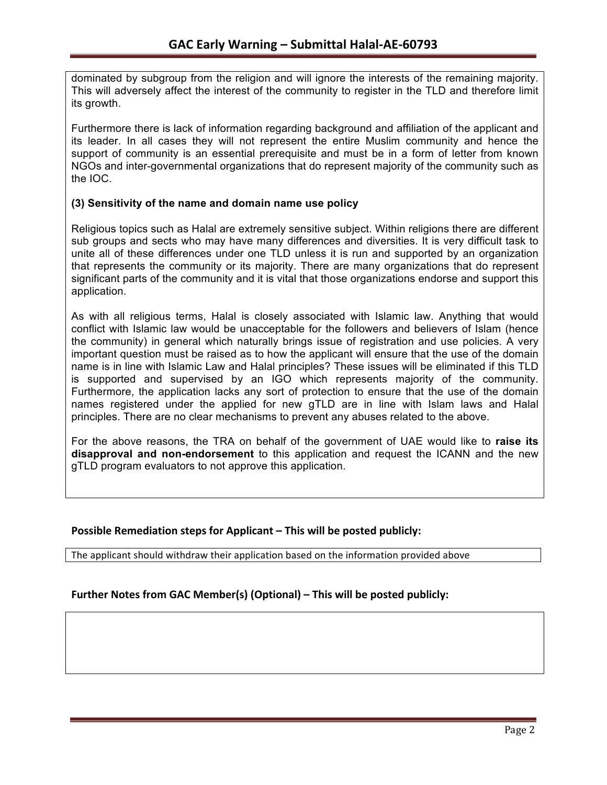dominated by subgroup from the religion and will ignore the interests of the remaining majority. This will adversely affect the interest of the community to register in the TLD and therefore limit its growth.

Furthermore there is lack of information regarding background and affiliation of the applicant and its leader. In all cases they will not represent the entire Muslim community and hence the support of community is an essential prerequisite and must be in a form of letter from known NGOs and inter-governmental organizations that do represent majority of the community such as the IOC.

### **(3) Sensitivity of the name and domain name use policy**

Religious topics such as Halal are extremely sensitive subject. Within religions there are different sub groups and sects who may have many differences and diversities. It is very difficult task to unite all of these differences under one TLD unless it is run and supported by an organization that represents the community or its majority. There are many organizations that do represent significant parts of the community and it is vital that those organizations endorse and support this application.

As with all religious terms, Halal is closely associated with Islamic law. Anything that would conflict with Islamic law would be unacceptable for the followers and believers of Islam (hence the community) in general which naturally brings issue of registration and use policies. A very important question must be raised as to how the applicant will ensure that the use of the domain name is in line with Islamic Law and Halal principles? These issues will be eliminated if this TLD is supported and supervised by an IGO which represents majority of the community. Furthermore, the application lacks any sort of protection to ensure that the use of the domain names registered under the applied for new gTLD are in line with Islam laws and Halal principles. There are no clear mechanisms to prevent any abuses related to the above.

For the above reasons, the TRA on behalf of the government of UAE would like to **raise its disapproval and non-endorsement** to this application and request the ICANN and the new gTLD program evaluators to not approve this application.

### **Possible Remediation steps for Applicant – This will be posted publicly:**

The applicant should withdraw their application based on the information provided above

## **Further Notes from GAC Member(s) (Optional) – This will be posted publicly:**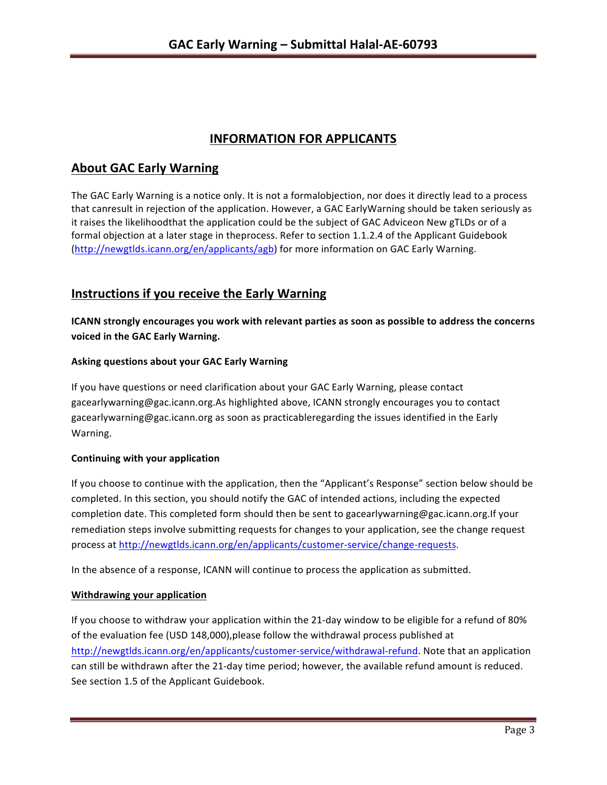# **INFORMATION FOR APPLICANTS**

# **About GAC Early Warning**

The GAC Early Warning is a notice only. It is not a formalobjection, nor does it directly lead to a process that canresult in rejection of the application. However, a GAC EarlyWarning should be taken seriously as it raises the likelihoodthat the application could be the subject of GAC Adviceon New gTLDs or of a formal objection at a later stage in theprocess. Refer to section 1.1.2.4 of the Applicant Guidebook (http://newgtlds.icann.org/en/applicants/agb) for more information on GAC Early Warning.

# **Instructions if you receive the Early Warning**

**ICANN** strongly encourages you work with relevant parties as soon as possible to address the concerns **voiced in the GAC Early Warning.** 

### **Asking questions about your GAC Early Warning**

If you have questions or need clarification about your GAC Early Warning, please contact gacearlywarning@gac.icann.org.As highlighted above, ICANN strongly encourages you to contact gacearlywarning@gac.icann.org as soon as practicableregarding the issues identified in the Early Warning. 

### **Continuing with your application**

If you choose to continue with the application, then the "Applicant's Response" section below should be completed. In this section, you should notify the GAC of intended actions, including the expected completion date. This completed form should then be sent to gacearlywarning@gac.icann.org.If your remediation steps involve submitting requests for changes to your application, see the change request process at http://newgtlds.icann.org/en/applicants/customer-service/change-requests.

In the absence of a response, ICANN will continue to process the application as submitted.

### **Withdrawing your application**

If you choose to withdraw your application within the 21-day window to be eligible for a refund of 80% of the evaluation fee (USD 148,000), please follow the withdrawal process published at http://newgtlds.icann.org/en/applicants/customer-service/withdrawal-refund. Note that an application can still be withdrawn after the 21-day time period; however, the available refund amount is reduced. See section 1.5 of the Applicant Guidebook.